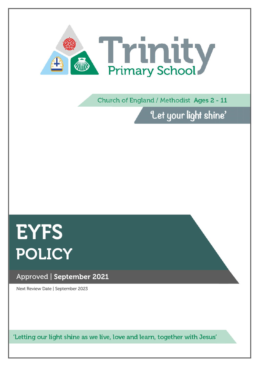

Church of England / Methodist Ages 2 - 11

'Let your light shine'

# **EYFS** POLICY

## Approved | September 2021

Next Review Date | September 2023

'Letting our light shine as we live, love and learn, together with Jesus'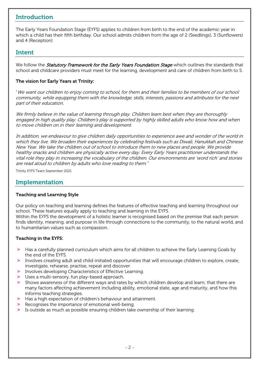## Introduction

The Early Years Foundation Stage (EYFS) applies to children from birth to the end of the academic year in which a child has their fifth birthday. Our school admits children from the age of 2 (Seedlings), 3 (Sunflowers) and 4 (Reception)

### Intent

We follow the *Statutory Framework for the Early Years Foundation Stage* which outlines the standards that school and childcare providers must meet for the learning, development and care of children from birth to 5.

#### The vision for Early Years at Trinity:

"We want our children to enjoy coming to school, for them and their families to be members of our school community, while equipping them with the knowledge, skills, interests, passions and attributes for the next part of their education.

We firmly believe in the value of learning through play. Children learn best when they are thoroughly engaged in high quality play. Children's play is supported by highly skilled adults who know how and when to move children on in their learning and development.

In addition, we endeavour to give children daily opportunities to experience awe and wonder of the world in which they live. We broaden their experiences by celebrating festivals such as Diwali, Hanukkah and Chinese New Year. We take the children out of school to introduce them to new places and people. We provide healthy snacks and children are physically active every day. Every Early Years practitioner understands the vital role they play in increasing the vocabulary of the children. Our environments are 'word rich' and stories are read aloud to children by adults who love reading to them."

Trinity EYFS Team September 2021

## Implementation

#### Teaching and Learning Style

Our policy on teaching and learning defines the features of effective teaching and learning throughout our school. These features equally apply to teaching and learning in the EYFS.

Within the EYFS the development of a holistic learner is recognised based on the premise that each person finds identity, meaning, and purpose in life through connections to the community, to the natural world, and to humanitarian values such as compassion.

#### Teaching in the EYFS:

- **>** Has a carefully planned curriculum which aims for all children to achieve the Early Learning Goals by the end of the EYFS.
- **>** Involves creating adult and child-initiated opportunities that will encourage children to explore, create, investigate, rehearse, practise, repeat and discover.
- **>** Involves developing Characteristics of Effective Learning.
- **>** Uses a multi-sensory, fun play-based approach.
- **>** Shows awareness of the different ways and rates by which children develop and learn; that there are many factors affecting achievement including ability, emotional state, age and maturity, and how this informs teaching strategies.
- **>** Has a high expectation of children's behaviour and attainment.
- **>** Recognises the importance of emotional well-being.
- **>** Is outside as much as possible ensuring children take ownership of their learning.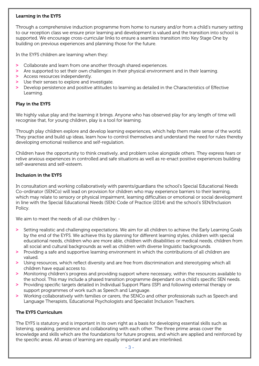#### Learning in the EYFS

Through a comprehensive induction programme from home to nursery and/or from a child's nursery setting to our reception class we ensure prior learning and development is valued and the transition into school is supported. We encourage cross-curricular links to ensure a seamless transition into Key Stage One by building on previous experiences and planning those for the future.

In the EYFS children are learning when they:

- **>** Collaborate and learn from one another through shared experiences.
- **>** Are supported to set their own challenges in their physical environment and in their learning.
- **>** Access resources independently.
- **>** Use their senses to explore and investigate.
- **>** Develop persistence and positive attitudes to learning as detailed in the Characteristics of Effective Learning.

#### Play in the EYFS

We highly value play and the learning it brings. Anyone who has observed play for any length of time will recognise that, for young children, play is a tool for learning.

Through play children explore and develop learning experiences, which help them make sense of the world. They practise and build up ideas, learn how to control themselves and understand the need for rules thereby developing emotional resilience and self-regulation.

Children have the opportunity to think creatively, and problem solve alongside others. They express fears or relive anxious experiences in controlled and safe situations as well as re-enact positive experiences building self-awareness and self-esteem.

#### Inclusion in the EYFS

In consultation and working collaboratively with parents/guardians the school's Special Educational Needs Co-ordinator (SENCo) will lead on provision for children who may experience barriers to their learning, which may relate to sensory or physical impairment, learning difficulties or emotional or social development in line with the Special Educational Needs (SEN) Code of Practice (2014) and the school's SEN/Inclusion Policy.

We aim to meet the needs of all our children by: -

- **>** Setting realistic and challenging expectations. We aim for all children to achieve the Early Learning Goals by the end of the EYFS. We achieve this by planning for different learning styles, children with special educational needs, children who are more able, children with disabilities or medical needs, children from all social and cultural backgrounds as well as children with diverse linguistic backgrounds.
- **>** Providing a safe and supportive learning environment in which the contributions of all children are valued.
- **>** Using resources, which reflect diversity and are free from discrimination and stereotyping which all children have equal access to.
- **>** Monitoring children's progress and providing support where necessary, within the resources available to the school. This may include a phased transition programme dependant on a child's specific SEN needs.
- **>** Providing specific targets detailed in Individual Support Plans (ISP) and following external therapy or support programmes of work such as Speech and Language.
- **>** Working collaboratively with families or carers, the SENCo and other professionals such as Speech and Language Therapists, Educational Psychologists and Specialist Inclusion Teachers.

#### The EYFS Curriculum

The EYFS is statutory and is important in its own right as a basis for developing essential skills such as listening, speaking, persistence and collaborating with each other. The three prime areas cover the knowledge and skills which are the foundations for future progress, and which are applied and reinforced by the specific areas. All areas of learning are equally important and are interlinked.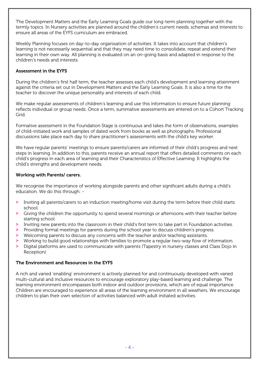The Development Matters and the Early Learning Goals guide our long-term planning together with the termly topics. In Nursery activities are planned around the children's current needs, schemas and interests to ensure all areas of the EYFS curriculum are embraced.

Weekly Planning focuses on day-to-day organisation of activities. It takes into account that children's learning is not necessarily sequential and that they may need time to consolidate, repeat and extend their learning in their own way. All planning is evaluated on an on-going basis and adapted in response to the children's needs and interests.

#### Assessment in the EYFS

During the children's first half term, the teacher assesses each child's development and learning attainment against the criteria set out in Development Matters and the Early Learning Goals. It is also a time for the teacher to discover the unique personality and interests of each child.

We make regular assessments of children's learning and use this information to ensure future planning reflects individual or group needs. Once a term, summative assessments are entered on to a Cohort Tracking Grid.

Formative assessment in the Foundation Stage is continuous and takes the form of observations, examples of child-initiated work and samples of dated work from books as well as photographs. Professional discussions take place each day to share practitioner's assessments with the child's key worker.

We have regular parents' meetings to ensure parents/carers are informed of their child's progress and next steps in learning. In addition to this, parents receive an annual report that offers detailed comments on each child's progress in each area of learning and their Characteristics of Effective Learning. It highlights the child's strengths and development needs.

#### Working with Parents/ carers.

We recognise the importance of working alongside parents and other significant adults during a child's education. We do this through: -

- **>** Inviting all parents/carers to an induction meeting/home visit during the term before their child starts school.
- **>** Giving the children the opportunity to spend several mornings or afternoons with their teacher before starting school.
- **>** Inviting new parents into the classroom in their child's first term to take part in Foundation activities.
- **>** Providing formal meetings for parents during the school year to discuss children's progress.
- **>** Welcoming parents to discuss any concerns with the teacher and/or teaching assistants.
- **>** Working to build good relationships with families to promote a regular two-way flow of information.
- **>** Digital platforms are used to communicate with parents (Tapestry in nursery classes and Class Dojo in Reception)

#### The Environment and Resources in the EYFS

A rich and varied 'enabling' environment is actively planned for and continuously developed with varied multi-cultural and inclusive resources to encourage exploratory play-based learning and challenge. The learning environment encompasses both indoor and outdoor provisions, which are of equal importance. Children are encouraged to experience all areas of the learning environment in all weathers. We encourage children to plan their own selection of activities balanced with adult initiated activities.